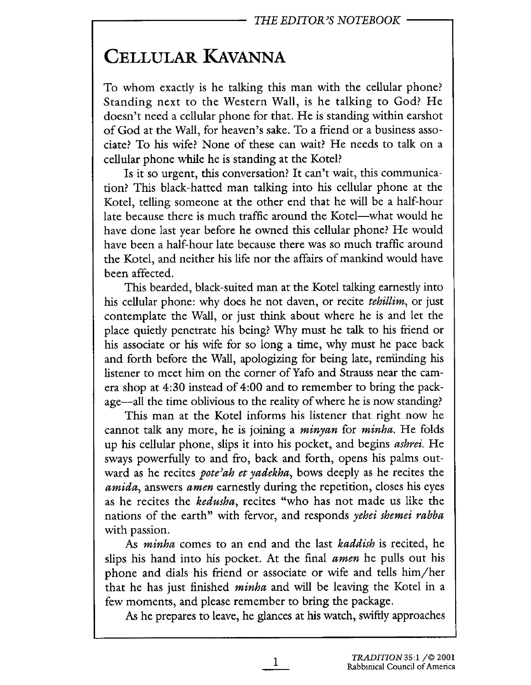## CELLULAR KAVANNA

To whom exactly is he talking this man with the cellular phone? Standing next to the Western Wall, is he talking to God? He doesn't need a cellular phone for that. He is standing within earshot of God at the Wall, for heaven's sake. To a friend or a business associate? To his wife? None of these can wait? He needs to talk on a cellular phone whie he is standing at the Kotel?

Is it so urgent, this conversation? It can't wait, this communication? This black-hatted man talking into his cellular phone at the Kotel, telling someone at the other end that he will be a half-hour late because there is much traffic around the Kotel—what would he have done last year before he owned this cellular phone? He would have been a half-hour late because there was so much traffic around the Kotel, and neither his life nor the affairs of manknd would have been affected.

This bearded, black-suited man at the Kotel talking earnestly into his cellular phone: why does he not daven, or recite *tehillim*, or just contemplate the Wall, or just think about where he is and let the place quietly penetrate his being? Why must he talk to his friend or his associate or his wife for so long a time, why must he pace back and forth before the Wall, apologizing for being late, reminding his listener to meet him on the corner of Yafo and Strauss near the camera shop at 4:30 instead of 4:00 and to remember to bring the package—all the time oblivious to the reality of where he is now standing?

This man at the Kotel informs his listener that right now he cannot talk any more, he is joining a minyan for minha. He folds up his cellular phone, slips it into his pocket, and begins ashrei. He sways powerfully to and fro, back and forth, opens his palms outward as he recites *pote'ah et yadekha*, bows deeply as he recites the amida, answers amen earnestly during the repetition, closes his eyes as he recites the kedusha, recites "who has not made us like the nations of the earth" with fervor, and responds yehei shemei rabba with passion.

As *minha* comes to an end and the last *kaddish* is recited, he slips his hand into his pocket. At the final amen he pulls out his phone and dials his friend or associate or wife and tells him/her that he has just finished *minha* and will be leaving the Kotel in a few moments, and please remember to bring the package.

As he prepares to leave, he glances at his watch, swiftly approaches

1